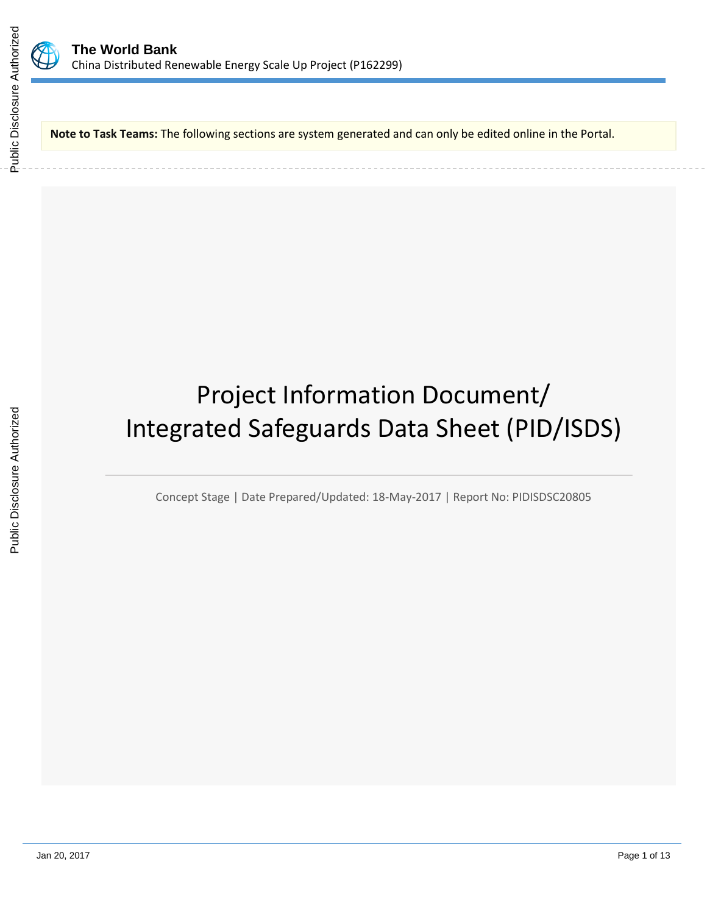

**Note to Task Teams:** The following sections are system generated and can only be edited online in the Portal.

# Project Information Document/ Integrated Safeguards Data Sheet (PID/ISDS)

Concept Stage | Date Prepared/Updated: 18-May-2017 | Report No: PIDISDSC20805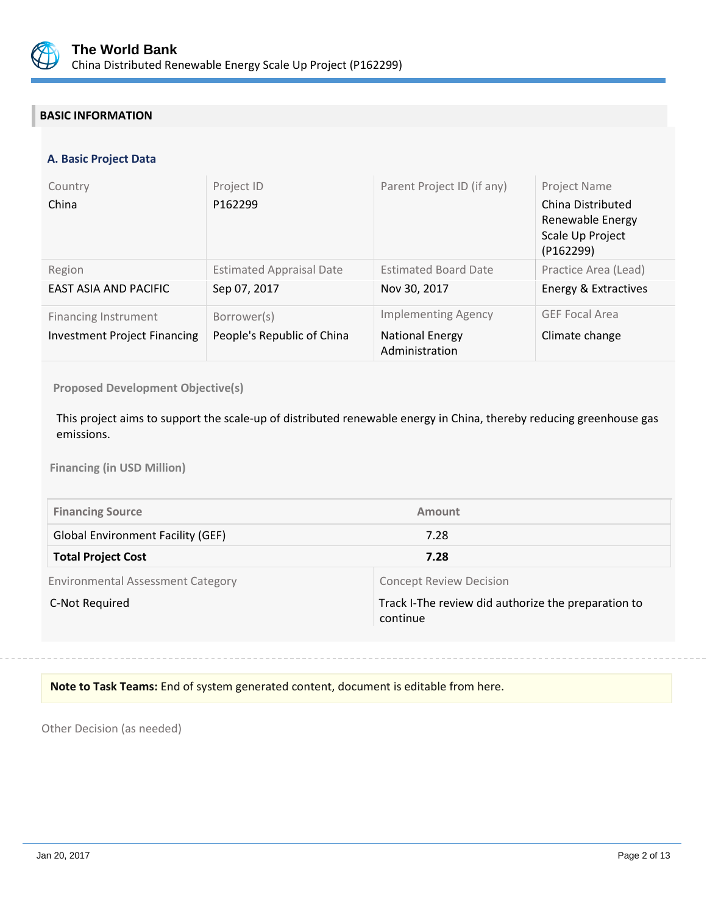

# **BASIC INFORMATION**

## **A. Basic Project Data**

| Country<br>China                                                   | Project ID<br>P162299                           | Parent Project ID (if any)                                             | Project Name<br>China Distributed<br>Renewable Energy<br>Scale Up Project<br>(P162299) |
|--------------------------------------------------------------------|-------------------------------------------------|------------------------------------------------------------------------|----------------------------------------------------------------------------------------|
| Region<br>EAST ASIA AND PACIFIC                                    | <b>Estimated Appraisal Date</b><br>Sep 07, 2017 | <b>Estimated Board Date</b><br>Nov 30, 2017                            | Practice Area (Lead)<br>Energy & Extractives                                           |
| <b>Financing Instrument</b><br><b>Investment Project Financing</b> | Borrower(s)<br>People's Republic of China       | <b>Implementing Agency</b><br><b>National Energy</b><br>Administration | <b>GEF Focal Area</b><br>Climate change                                                |

**Proposed Development Objective(s)** 

This project aims to support the scale-up of distributed renewable energy in China, thereby reducing greenhouse gas emissions.

**Financing (in USD Million)**

| <b>Financing Source</b>                  | Amount                                                          |
|------------------------------------------|-----------------------------------------------------------------|
| <b>Global Environment Facility (GEF)</b> | 7.28                                                            |
| <b>Total Project Cost</b>                | 7.28                                                            |
| <b>Environmental Assessment Category</b> | <b>Concept Review Decision</b>                                  |
| C-Not Required                           | Track I-The review did authorize the preparation to<br>continue |

## **Note to Task Teams:** End of system generated content, document is editable from here.

Other Decision (as needed)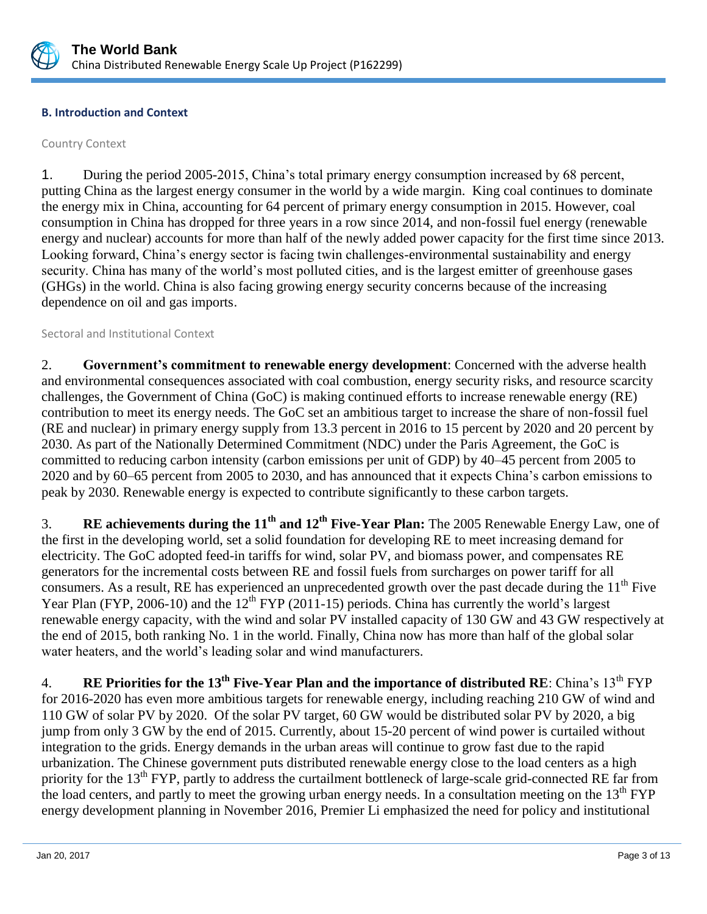

## **B. Introduction and Context**

## Country Context

1. During the period 2005-2015, China's total primary energy consumption increased by 68 percent, putting China as the largest energy consumer in the world by a wide margin. King coal continues to dominate the energy mix in China, accounting for 64 percent of primary energy consumption in 2015. However, coal consumption in China has dropped for three years in a row since 2014, and non-fossil fuel energy (renewable energy and nuclear) accounts for more than half of the newly added power capacity for the first time since 2013. Looking forward, China's energy sector is facing twin challenges-environmental sustainability and energy security. China has many of the world's most polluted cities, and is the largest emitter of greenhouse gases (GHGs) in the world. China is also facing growing energy security concerns because of the increasing dependence on oil and gas imports.

## Sectoral and Institutional Context

2. **Government's commitment to renewable energy development**: Concerned with the adverse health and environmental consequences associated with coal combustion, energy security risks, and resource scarcity challenges, the Government of China (GoC) is making continued efforts to increase renewable energy (RE) contribution to meet its energy needs. The GoC set an ambitious target to increase the share of non-fossil fuel (RE and nuclear) in primary energy supply from 13.3 percent in 2016 to 15 percent by 2020 and 20 percent by 2030. As part of the Nationally Determined Commitment (NDC) under the Paris Agreement, the GoC is committed to reducing carbon intensity (carbon emissions per unit of GDP) by 40–45 percent from 2005 to 2020 and by 60–65 percent from 2005 to 2030, and has announced that it expects China's carbon emissions to peak by 2030. Renewable energy is expected to contribute significantly to these carbon targets.

3. **RE achievements during the 11th and 12th Five-Year Plan:** The 2005 Renewable Energy Law, one of the first in the developing world, set a solid foundation for developing RE to meet increasing demand for electricity. The GoC adopted feed-in tariffs for wind, solar PV, and biomass power, and compensates RE generators for the incremental costs between RE and fossil fuels from surcharges on power tariff for all consumers. As a result, RE has experienced an unprecedented growth over the past decade during the  $11<sup>th</sup>$  Five Year Plan (FYP, 2006-10) and the 12<sup>th</sup> FYP (2011-15) periods. China has currently the world's largest renewable energy capacity, with the wind and solar PV installed capacity of 130 GW and 43 GW respectively at the end of 2015, both ranking No. 1 in the world. Finally, China now has more than half of the global solar water heaters, and the world's leading solar and wind manufacturers.

4. **RE Priorities for the 13th Five-Year Plan and the importance of distributed RE**: China's 13th FYP for 2016-2020 has even more ambitious targets for renewable energy, including reaching 210 GW of wind and 110 GW of solar PV by 2020. Of the solar PV target, 60 GW would be distributed solar PV by 2020, a big jump from only 3 GW by the end of 2015. Currently, about 15-20 percent of wind power is curtailed without integration to the grids. Energy demands in the urban areas will continue to grow fast due to the rapid urbanization. The Chinese government puts distributed renewable energy close to the load centers as a high priority for the  $13<sup>th</sup> FYP$ , partly to address the curtailment bottleneck of large-scale grid-connected RE far from the load centers, and partly to meet the growing urban energy needs. In a consultation meeting on the  $13<sup>th</sup> FYP$ energy development planning in November 2016, Premier Li emphasized the need for policy and institutional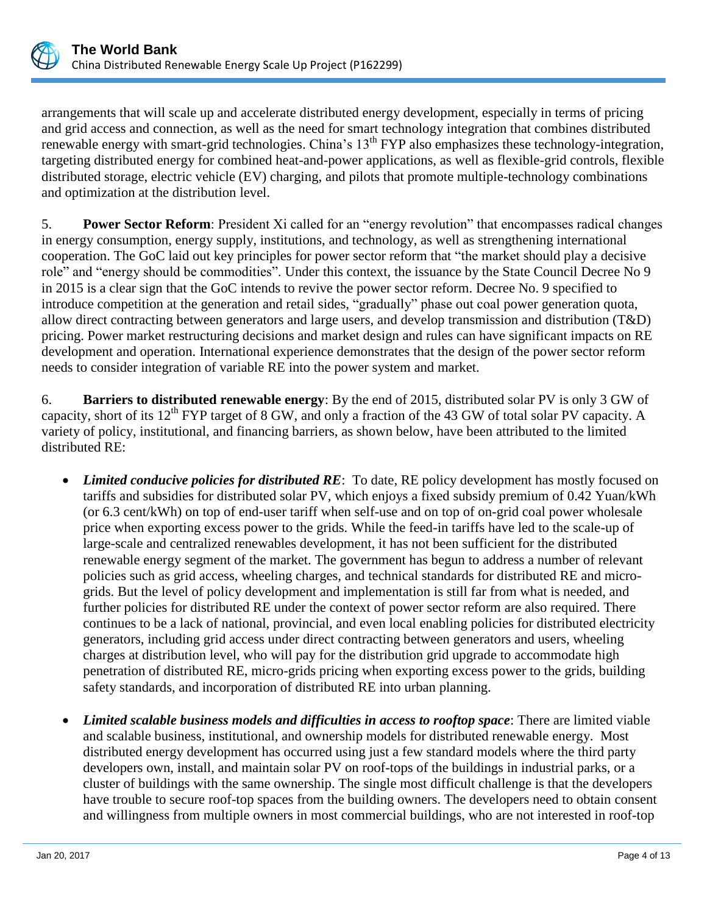

arrangements that will scale up and accelerate distributed energy development, especially in terms of pricing and grid access and connection, as well as the need for smart technology integration that combines distributed renewable energy with smart-grid technologies. China's 13<sup>th</sup> FYP also emphasizes these technology-integration, targeting distributed energy for combined heat-and-power applications, as well as flexible-grid controls, flexible distributed storage, electric vehicle (EV) charging, and pilots that promote multiple-technology combinations and optimization at the distribution level.

5. **Power Sector Reform**: President Xi called for an "energy revolution" that encompasses radical changes in energy consumption, energy supply, institutions, and technology, as well as strengthening international cooperation. The GoC laid out key principles for power sector reform that "the market should play a decisive role" and "energy should be commodities". Under this context, the issuance by the State Council Decree No 9 in 2015 is a clear sign that the GoC intends to revive the power sector reform. Decree No. 9 specified to introduce competition at the generation and retail sides, "gradually" phase out coal power generation quota, allow direct contracting between generators and large users, and develop transmission and distribution (T&D) pricing. Power market restructuring decisions and market design and rules can have significant impacts on RE development and operation. International experience demonstrates that the design of the power sector reform needs to consider integration of variable RE into the power system and market.

6. **Barriers to distributed renewable energy**: By the end of 2015, distributed solar PV is only 3 GW of capacity, short of its 12<sup>th</sup> FYP target of 8 GW, and only a fraction of the 43 GW of total solar PV capacity. A variety of policy, institutional, and financing barriers, as shown below, have been attributed to the limited distributed RE:

- *Limited conducive policies for distributed RE*: To date, RE policy development has mostly focused on tariffs and subsidies for distributed solar PV, which enjoys a fixed subsidy premium of 0.42 Yuan/kWh (or 6.3 cent/kWh) on top of end-user tariff when self-use and on top of on-grid coal power wholesale price when exporting excess power to the grids. While the feed-in tariffs have led to the scale-up of large-scale and centralized renewables development, it has not been sufficient for the distributed renewable energy segment of the market. The government has begun to address a number of relevant policies such as grid access, wheeling charges, and technical standards for distributed RE and microgrids. But the level of policy development and implementation is still far from what is needed, and further policies for distributed RE under the context of power sector reform are also required. There continues to be a lack of national, provincial, and even local enabling policies for distributed electricity generators, including grid access under direct contracting between generators and users, wheeling charges at distribution level, who will pay for the distribution grid upgrade to accommodate high penetration of distributed RE, micro-grids pricing when exporting excess power to the grids, building safety standards, and incorporation of distributed RE into urban planning.
- *Limited scalable business models and difficulties in access to rooftop space*: There are limited viable and scalable business, institutional, and ownership models for distributed renewable energy. Most distributed energy development has occurred using just a few standard models where the third party developers own, install, and maintain solar PV on roof-tops of the buildings in industrial parks, or a cluster of buildings with the same ownership. The single most difficult challenge is that the developers have trouble to secure roof-top spaces from the building owners. The developers need to obtain consent and willingness from multiple owners in most commercial buildings, who are not interested in roof-top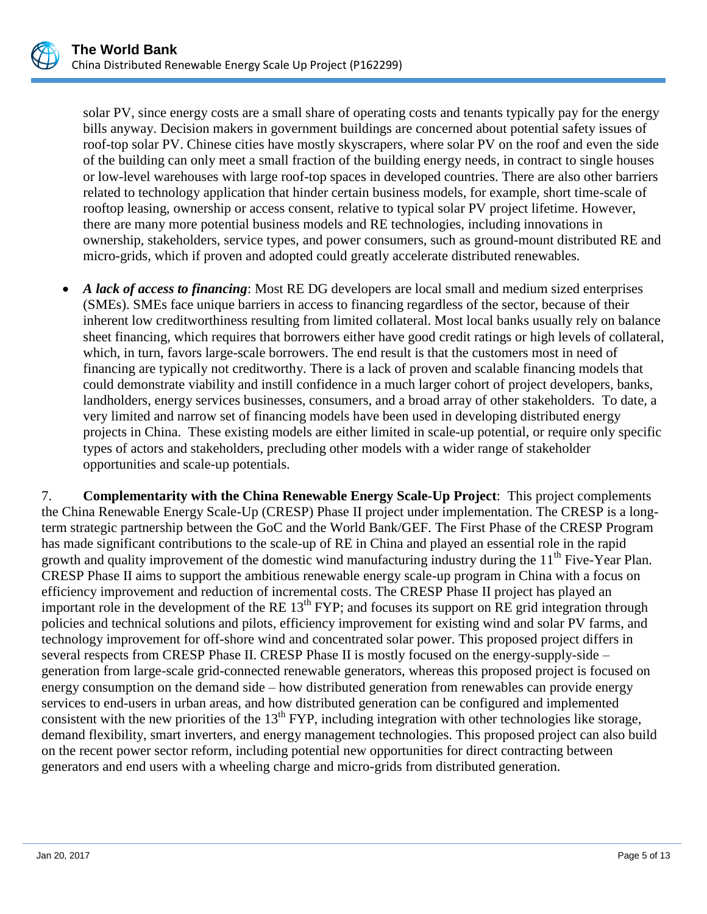solar PV, since energy costs are a small share of operating costs and tenants typically pay for the energy bills anyway. Decision makers in government buildings are concerned about potential safety issues of roof-top solar PV. Chinese cities have mostly skyscrapers, where solar PV on the roof and even the side of the building can only meet a small fraction of the building energy needs, in contract to single houses or low-level warehouses with large roof-top spaces in developed countries. There are also other barriers related to technology application that hinder certain business models, for example, short time-scale of rooftop leasing, ownership or access consent, relative to typical solar PV project lifetime. However, there are many more potential business models and RE technologies, including innovations in ownership, stakeholders, service types, and power consumers, such as ground-mount distributed RE and micro-grids, which if proven and adopted could greatly accelerate distributed renewables.

 *A lack of access to financing*: Most RE DG developers are local small and medium sized enterprises (SMEs). SMEs face unique barriers in access to financing regardless of the sector, because of their inherent low creditworthiness resulting from limited collateral. Most local banks usually rely on balance sheet financing, which requires that borrowers either have good credit ratings or high levels of collateral, which, in turn, favors large-scale borrowers. The end result is that the customers most in need of financing are typically not creditworthy. There is a lack of proven and scalable financing models that could demonstrate viability and instill confidence in a much larger cohort of project developers, banks, landholders, energy services businesses, consumers, and a broad array of other stakeholders. To date, a very limited and narrow set of financing models have been used in developing distributed energy projects in China. These existing models are either limited in scale-up potential, or require only specific types of actors and stakeholders, precluding other models with a wider range of stakeholder opportunities and scale-up potentials.

7. **Complementarity with the China Renewable Energy Scale-Up Project**: This project complements the China Renewable Energy Scale-Up (CRESP) Phase II project under implementation. The CRESP is a longterm strategic partnership between the GoC and the World Bank/GEF. The First Phase of the CRESP Program has made significant contributions to the scale-up of RE in China and played an essential role in the rapid growth and quality improvement of the domestic wind manufacturing industry during the  $11<sup>th</sup>$  Five-Year Plan. CRESP Phase II aims to support the ambitious renewable energy scale-up program in China with a focus on efficiency improvement and reduction of incremental costs. The CRESP Phase II project has played an important role in the development of the RE  $13<sup>th</sup> FYP$ ; and focuses its support on RE grid integration through policies and technical solutions and pilots, efficiency improvement for existing wind and solar PV farms, and technology improvement for off-shore wind and concentrated solar power. This proposed project differs in several respects from CRESP Phase II. CRESP Phase II is mostly focused on the energy-supply-side – generation from large-scale grid-connected renewable generators, whereas this proposed project is focused on energy consumption on the demand side – how distributed generation from renewables can provide energy services to end-users in urban areas, and how distributed generation can be configured and implemented consistent with the new priorities of the  $13<sup>th</sup> FYP$ , including integration with other technologies like storage, demand flexibility, smart inverters, and energy management technologies. This proposed project can also build on the recent power sector reform, including potential new opportunities for direct contracting between generators and end users with a wheeling charge and micro-grids from distributed generation.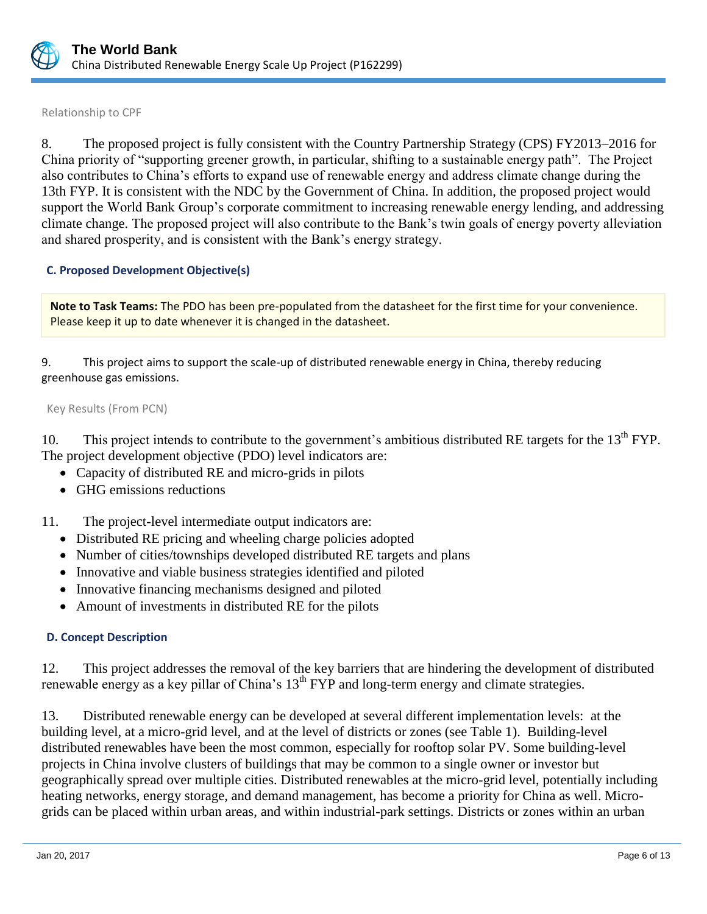

Relationship to CPF

8. The proposed project is fully consistent with the Country Partnership Strategy (CPS) FY2013–2016 for China priority of "supporting greener growth, in particular, shifting to a sustainable energy path". The Project also contributes to China's efforts to expand use of renewable energy and address climate change during the 13th FYP. It is consistent with the NDC by the Government of China. In addition, the proposed project would support the World Bank Group's corporate commitment to increasing renewable energy lending, and addressing climate change. The proposed project will also contribute to the Bank's twin goals of energy poverty alleviation and shared prosperity, and is consistent with the Bank's energy strategy.

## **C. Proposed Development Objective(s)**

**Note to Task Teams:** The PDO has been pre-populated from the datasheet for the first time for your convenience. Please keep it up to date whenever it is changed in the datasheet.

9. This project aims to support the scale-up of distributed renewable energy in China, thereby reducing greenhouse gas emissions.

Key Results (From PCN)

10. This project intends to contribute to the government's ambitious distributed RE targets for the  $13<sup>th</sup> FYP$ . The project development objective (PDO) level indicators are:

- Capacity of distributed RE and micro-grids in pilots
- GHG emissions reductions
- 11. The project-level intermediate output indicators are:
	- Distributed RE pricing and wheeling charge policies adopted
	- Number of cities/townships developed distributed RE targets and plans
	- Innovative and viable business strategies identified and piloted
	- Innovative financing mechanisms designed and piloted
	- Amount of investments in distributed RE for the pilots

## **D. Concept Description**

12. This project addresses the removal of the key barriers that are hindering the development of distributed renewable energy as a key pillar of China's 13<sup>th</sup> FYP and long-term energy and climate strategies.

13. Distributed renewable energy can be developed at several different implementation levels: at the building level, at a micro-grid level, and at the level of districts or zones (see Table 1). Building-level distributed renewables have been the most common, especially for rooftop solar PV. Some building-level projects in China involve clusters of buildings that may be common to a single owner or investor but geographically spread over multiple cities. Distributed renewables at the micro-grid level, potentially including heating networks, energy storage, and demand management, has become a priority for China as well. Microgrids can be placed within urban areas, and within industrial-park settings. Districts or zones within an urban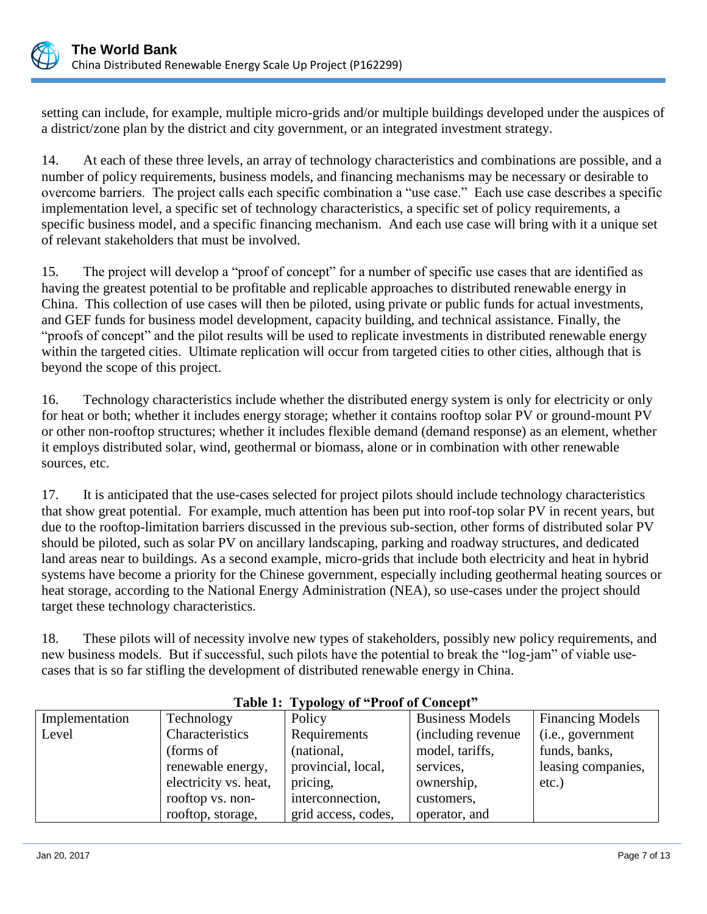

setting can include, for example, multiple micro-grids and/or multiple buildings developed under the auspices of a district/zone plan by the district and city government, or an integrated investment strategy.

14. At each of these three levels, an array of technology characteristics and combinations are possible, and a number of policy requirements, business models, and financing mechanisms may be necessary or desirable to overcome barriers. The project calls each specific combination a "use case." Each use case describes a specific implementation level, a specific set of technology characteristics, a specific set of policy requirements, a specific business model, and a specific financing mechanism. And each use case will bring with it a unique set of relevant stakeholders that must be involved.

15. The project will develop a "proof of concept" for a number of specific use cases that are identified as having the greatest potential to be profitable and replicable approaches to distributed renewable energy in China. This collection of use cases will then be piloted, using private or public funds for actual investments, and GEF funds for business model development, capacity building, and technical assistance. Finally, the "proofs of concept" and the pilot results will be used to replicate investments in distributed renewable energy within the targeted cities. Ultimate replication will occur from targeted cities to other cities, although that is beyond the scope of this project.

16. Technology characteristics include whether the distributed energy system is only for electricity or only for heat or both; whether it includes energy storage; whether it contains rooftop solar PV or ground-mount PV or other non-rooftop structures; whether it includes flexible demand (demand response) as an element, whether it employs distributed solar, wind, geothermal or biomass, alone or in combination with other renewable sources, etc.

17. It is anticipated that the use-cases selected for project pilots should include technology characteristics that show great potential. For example, much attention has been put into roof-top solar PV in recent years, but due to the rooftop-limitation barriers discussed in the previous sub-section, other forms of distributed solar PV should be piloted, such as solar PV on ancillary landscaping, parking and roadway structures, and dedicated land areas near to buildings. As a second example, micro-grids that include both electricity and heat in hybrid systems have become a priority for the Chinese government, especially including geothermal heating sources or heat storage, according to the National Energy Administration (NEA), so use-cases under the project should target these technology characteristics.

18. These pilots will of necessity involve new types of stakeholders, possibly new policy requirements, and new business models. But if successful, such pilots have the potential to break the "log-jam" of viable usecases that is so far stifling the development of distributed renewable energy in China.

| Implementation | Technology            | Policy              | <b>Business Models</b> | <b>Financing Models</b> |
|----------------|-----------------------|---------------------|------------------------|-------------------------|
| Level          | Characteristics       | Requirements        | (including revenue)    | (i.e., government       |
|                | (forms of             | (national,          | model, tariffs,        | funds, banks,           |
|                | renewable energy,     | provincial, local,  | services,              | leasing companies,      |
|                | electricity vs. heat, | pricing,            | ownership,             | $etc.$ )                |
|                | rooftop vs. non-      | interconnection,    | customers,             |                         |
|                | rooftop, storage,     | grid access, codes, | operator, and          |                         |

# **Table 1: Typology of "Proof of Concept"**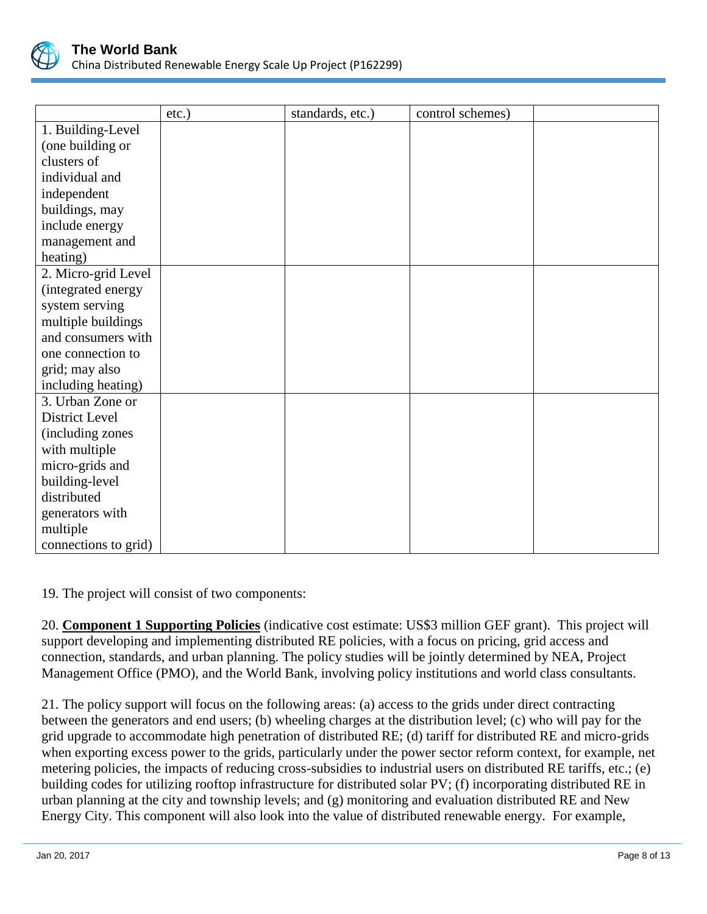

|                      | $etc.$ ) | standards, etc.) | control schemes) |  |
|----------------------|----------|------------------|------------------|--|
| 1. Building-Level    |          |                  |                  |  |
| (one building or     |          |                  |                  |  |
| clusters of          |          |                  |                  |  |
| individual and       |          |                  |                  |  |
| independent          |          |                  |                  |  |
| buildings, may       |          |                  |                  |  |
| include energy       |          |                  |                  |  |
| management and       |          |                  |                  |  |
| heating)             |          |                  |                  |  |
| 2. Micro-grid Level  |          |                  |                  |  |
| (integrated energy   |          |                  |                  |  |
| system serving       |          |                  |                  |  |
| multiple buildings   |          |                  |                  |  |
| and consumers with   |          |                  |                  |  |
| one connection to    |          |                  |                  |  |
| grid; may also       |          |                  |                  |  |
| including heating)   |          |                  |                  |  |
| 3. Urban Zone or     |          |                  |                  |  |
| District Level       |          |                  |                  |  |
| (including zones     |          |                  |                  |  |
| with multiple        |          |                  |                  |  |
| micro-grids and      |          |                  |                  |  |
| building-level       |          |                  |                  |  |
| distributed          |          |                  |                  |  |
| generators with      |          |                  |                  |  |
| multiple             |          |                  |                  |  |
| connections to grid) |          |                  |                  |  |

19. The project will consist of two components:

20. **Component 1 Supporting Policies** (indicative cost estimate: US\$3 million GEF grant). This project will support developing and implementing distributed RE policies, with a focus on pricing, grid access and connection, standards, and urban planning. The policy studies will be jointly determined by NEA, Project Management Office (PMO), and the World Bank, involving policy institutions and world class consultants.

21. The policy support will focus on the following areas: (a) access to the grids under direct contracting between the generators and end users; (b) wheeling charges at the distribution level; (c) who will pay for the grid upgrade to accommodate high penetration of distributed RE; (d) tariff for distributed RE and micro-grids when exporting excess power to the grids, particularly under the power sector reform context, for example, net metering policies, the impacts of reducing cross-subsidies to industrial users on distributed RE tariffs, etc.; (e) building codes for utilizing rooftop infrastructure for distributed solar PV; (f) incorporating distributed RE in urban planning at the city and township levels; and (g) monitoring and evaluation distributed RE and New Energy City. This component will also look into the value of distributed renewable energy. For example,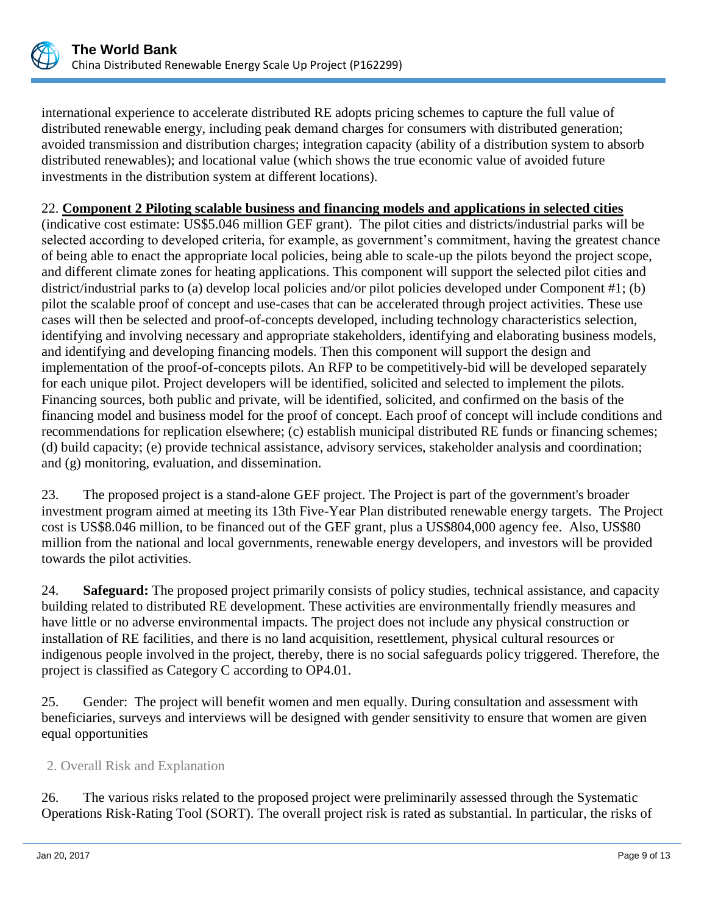

international experience to accelerate distributed RE adopts pricing schemes to capture the full value of distributed renewable energy, including peak demand charges for consumers with distributed generation; avoided transmission and distribution charges; integration capacity (ability of a distribution system to absorb distributed renewables); and locational value (which shows the true economic value of avoided future investments in the distribution system at different locations).

# 22. **Component 2 Piloting scalable business and financing models and applications in selected cities**

(indicative cost estimate: US\$5.046 million GEF grant). The pilot cities and districts/industrial parks will be selected according to developed criteria, for example, as government's commitment, having the greatest chance of being able to enact the appropriate local policies, being able to scale-up the pilots beyond the project scope, and different climate zones for heating applications. This component will support the selected pilot cities and district/industrial parks to (a) develop local policies and/or pilot policies developed under Component #1; (b) pilot the scalable proof of concept and use-cases that can be accelerated through project activities. These use cases will then be selected and proof-of-concepts developed, including technology characteristics selection, identifying and involving necessary and appropriate stakeholders, identifying and elaborating business models, and identifying and developing financing models. Then this component will support the design and implementation of the proof-of-concepts pilots. An RFP to be competitively-bid will be developed separately for each unique pilot. Project developers will be identified, solicited and selected to implement the pilots. Financing sources, both public and private, will be identified, solicited, and confirmed on the basis of the financing model and business model for the proof of concept. Each proof of concept will include conditions and recommendations for replication elsewhere; (c) establish municipal distributed RE funds or financing schemes; (d) build capacity; (e) provide technical assistance, advisory services, stakeholder analysis and coordination; and (g) monitoring, evaluation, and dissemination.

23. The proposed project is a stand-alone GEF project. The Project is part of the government's broader investment program aimed at meeting its 13th Five-Year Plan distributed renewable energy targets. The Project cost is US\$8.046 million, to be financed out of the GEF grant, plus a US\$804,000 agency fee. Also, US\$80 million from the national and local governments, renewable energy developers, and investors will be provided towards the pilot activities.

24. **Safeguard:** The proposed project primarily consists of policy studies, technical assistance, and capacity building related to distributed RE development. These activities are environmentally friendly measures and have little or no adverse environmental impacts. The project does not include any physical construction or installation of RE facilities, and there is no land acquisition, resettlement, physical cultural resources or indigenous people involved in the project, thereby, there is no social safeguards policy triggered. Therefore, the project is classified as Category C according to OP4.01.

25. Gender: The project will benefit women and men equally. During consultation and assessment with beneficiaries, surveys and interviews will be designed with gender sensitivity to ensure that women are given equal opportunities

# 2. Overall Risk and Explanation

26. The various risks related to the proposed project were preliminarily assessed through the Systematic Operations Risk-Rating Tool (SORT). The overall project risk is rated as substantial. In particular, the risks of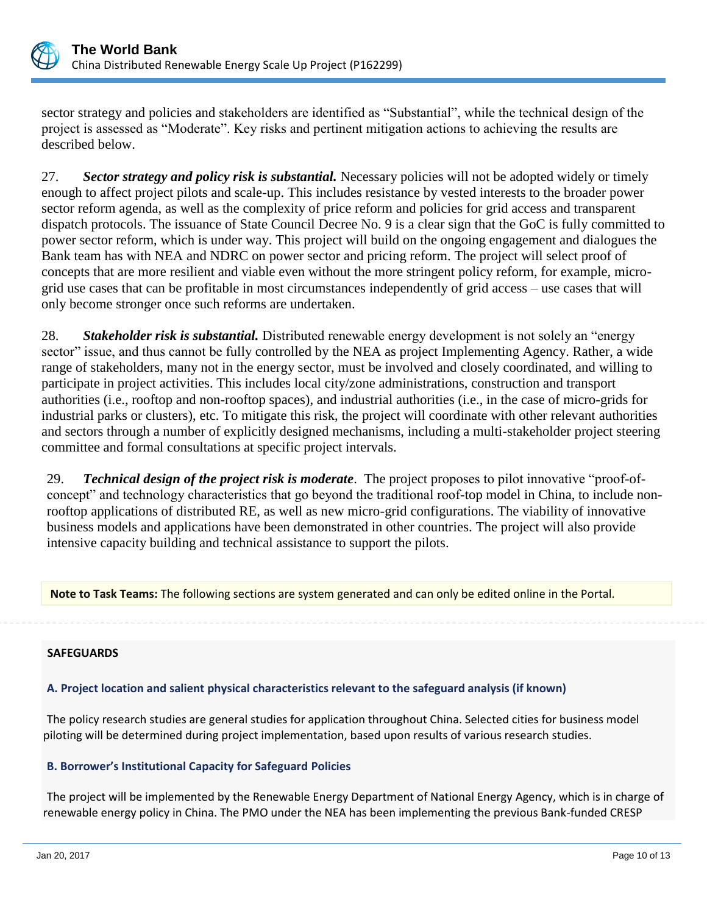

sector strategy and policies and stakeholders are identified as "Substantial", while the technical design of the project is assessed as "Moderate". Key risks and pertinent mitigation actions to achieving the results are described below.

27. *Sector strategy and policy risk is substantial.* Necessary policies will not be adopted widely or timely enough to affect project pilots and scale-up. This includes resistance by vested interests to the broader power sector reform agenda, as well as the complexity of price reform and policies for grid access and transparent dispatch protocols. The issuance of State Council Decree No. 9 is a clear sign that the GoC is fully committed to power sector reform, which is under way. This project will build on the ongoing engagement and dialogues the Bank team has with NEA and NDRC on power sector and pricing reform. The project will select proof of concepts that are more resilient and viable even without the more stringent policy reform, for example, microgrid use cases that can be profitable in most circumstances independently of grid access – use cases that will only become stronger once such reforms are undertaken.

28. *Stakeholder risk is substantial.* Distributed renewable energy development is not solely an "energy sector" issue, and thus cannot be fully controlled by the NEA as project Implementing Agency. Rather, a wide range of stakeholders, many not in the energy sector, must be involved and closely coordinated, and willing to participate in project activities. This includes local city/zone administrations, construction and transport authorities (i.e., rooftop and non-rooftop spaces), and industrial authorities (i.e., in the case of micro-grids for industrial parks or clusters), etc. To mitigate this risk, the project will coordinate with other relevant authorities and sectors through a number of explicitly designed mechanisms, including a multi-stakeholder project steering committee and formal consultations at specific project intervals.

29. *Technical design of the project risk is moderate*. The project proposes to pilot innovative "proof-ofconcept" and technology characteristics that go beyond the traditional roof-top model in China, to include nonrooftop applications of distributed RE, as well as new micro-grid configurations. The viability of innovative business models and applications have been demonstrated in other countries. The project will also provide intensive capacity building and technical assistance to support the pilots.

**Note to Task Teams:** The following sections are system generated and can only be edited online in the Portal.

## **SAFEGUARDS**

# **A. Project location and salient physical characteristics relevant to the safeguard analysis (if known)**

The policy research studies are general studies for application throughout China. Selected cities for business model piloting will be determined during project implementation, based upon results of various research studies.

# **B. Borrower's Institutional Capacity for Safeguard Policies**

The project will be implemented by the Renewable Energy Department of National Energy Agency, which is in charge of renewable energy policy in China. The PMO under the NEA has been implementing the previous Bank-funded CRESP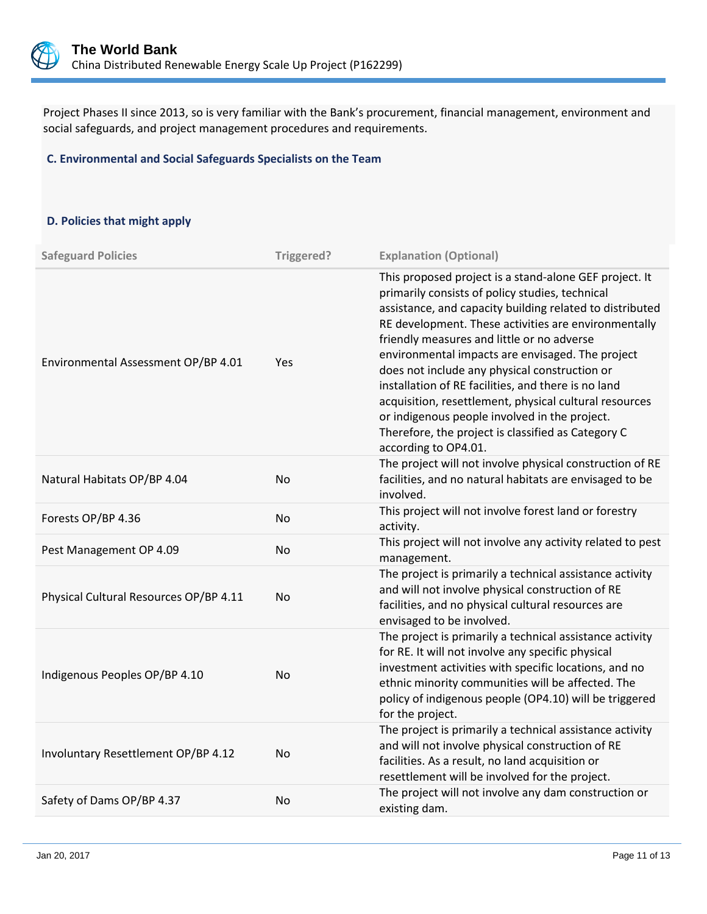

Project Phases II since 2013, so is very familiar with the Bank's procurement, financial management, environment and social safeguards, and project management procedures and requirements.

## **C. Environmental and Social Safeguards Specialists on the Team**

## **D. Policies that might apply**

| <b>Safeguard Policies</b>              | Triggered? | <b>Explanation (Optional)</b>                                                                                                                                                                                                                                                                                                                                                                                                                                                                                                                                                                                                    |
|----------------------------------------|------------|----------------------------------------------------------------------------------------------------------------------------------------------------------------------------------------------------------------------------------------------------------------------------------------------------------------------------------------------------------------------------------------------------------------------------------------------------------------------------------------------------------------------------------------------------------------------------------------------------------------------------------|
| Environmental Assessment OP/BP 4.01    | Yes        | This proposed project is a stand-alone GEF project. It<br>primarily consists of policy studies, technical<br>assistance, and capacity building related to distributed<br>RE development. These activities are environmentally<br>friendly measures and little or no adverse<br>environmental impacts are envisaged. The project<br>does not include any physical construction or<br>installation of RE facilities, and there is no land<br>acquisition, resettlement, physical cultural resources<br>or indigenous people involved in the project.<br>Therefore, the project is classified as Category C<br>according to OP4.01. |
| Natural Habitats OP/BP 4.04            | <b>No</b>  | The project will not involve physical construction of RE<br>facilities, and no natural habitats are envisaged to be<br>involved.                                                                                                                                                                                                                                                                                                                                                                                                                                                                                                 |
| Forests OP/BP 4.36                     | <b>No</b>  | This project will not involve forest land or forestry<br>activity.                                                                                                                                                                                                                                                                                                                                                                                                                                                                                                                                                               |
| Pest Management OP 4.09                | No         | This project will not involve any activity related to pest<br>management.                                                                                                                                                                                                                                                                                                                                                                                                                                                                                                                                                        |
| Physical Cultural Resources OP/BP 4.11 | <b>No</b>  | The project is primarily a technical assistance activity<br>and will not involve physical construction of RE<br>facilities, and no physical cultural resources are<br>envisaged to be involved.                                                                                                                                                                                                                                                                                                                                                                                                                                  |
| Indigenous Peoples OP/BP 4.10          | No         | The project is primarily a technical assistance activity<br>for RE. It will not involve any specific physical<br>investment activities with specific locations, and no<br>ethnic minority communities will be affected. The<br>policy of indigenous people (OP4.10) will be triggered<br>for the project.                                                                                                                                                                                                                                                                                                                        |
| Involuntary Resettlement OP/BP 4.12    | <b>No</b>  | The project is primarily a technical assistance activity<br>and will not involve physical construction of RE<br>facilities. As a result, no land acquisition or<br>resettlement will be involved for the project.                                                                                                                                                                                                                                                                                                                                                                                                                |
| Safety of Dams OP/BP 4.37              | <b>No</b>  | The project will not involve any dam construction or<br>existing dam.                                                                                                                                                                                                                                                                                                                                                                                                                                                                                                                                                            |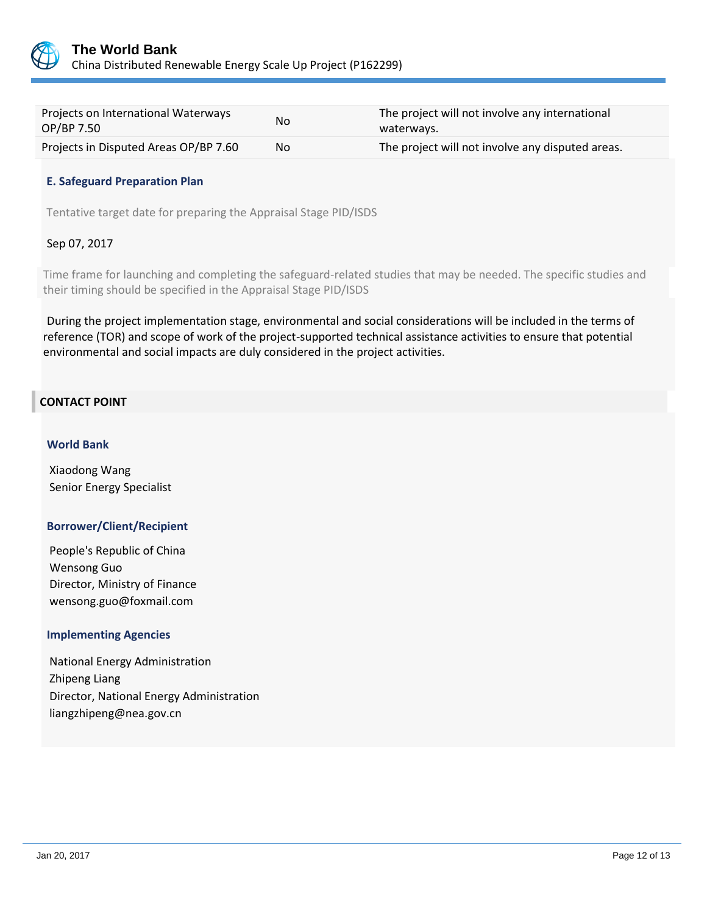

| Projects on International Waterways<br>OP/BP 7.50 | N <sub>o</sub> | The project will not involve any international<br>waterways. |
|---------------------------------------------------|----------------|--------------------------------------------------------------|
| Projects in Disputed Areas OP/BP 7.60             | No.            | The project will not involve any disputed areas.             |

## **E. Safeguard Preparation Plan**

Tentative target date for preparing the Appraisal Stage PID/ISDS

## Sep 07, 2017

Time frame for launching and completing the safeguard-related studies that may be needed. The specific studies and their timing should be specified in the Appraisal Stage PID/ISDS

During the project implementation stage, environmental and social considerations will be included in the terms of reference (TOR) and scope of work of the project-supported technical assistance activities to ensure that potential environmental and social impacts are duly considered in the project activities.

## **CONTACT POINT**

## **World Bank**

Xiaodong Wang Senior Energy Specialist

## **Borrower/Client/Recipient**

People's Republic of China Wensong Guo Director, Ministry of Finance wensong.guo@foxmail.com

## **Implementing Agencies**

National Energy Administration Zhipeng Liang Director, National Energy Administration liangzhipeng@nea.gov.cn